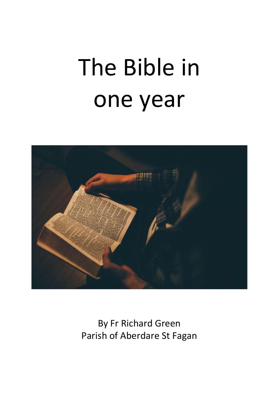# The Bible in one year



By Fr Richard Green Parish of Aberdare St Fagan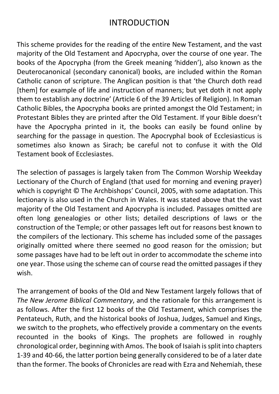## INTRODUCTION

This scheme provides for the reading of the entire New Testament, and the vast majority of the Old Testament and Apocrypha, over the course of one year. The books of the Apocrypha (from the Greek meaning 'hidden'), also known as the Deuterocanonical (secondary canonical) books, are included within the Roman Catholic canon of scripture. The Anglican position is that 'the Church doth read [them] for example of life and instruction of manners; but yet doth it not apply them to establish any doctrine' (Article 6 of the 39 Articles of Religion). In Roman Catholic Bibles, the Apocrypha books are printed amongst the Old Testament; in Protestant Bibles they are printed after the Old Testament. If your Bible doesn't have the Apocrypha printed in it, the books can easily be found online by searching for the passage in question. The Apocryphal book of Ecclesiasticus is sometimes also known as Sirach; be careful not to confuse it with the Old Testament book of Ecclesiastes.

The selection of passages is largely taken from The Common Worship Weekday Lectionary of the Church of England (that used for morning and evening prayer) which is copyright © The Archbishops' Council, 2005, with some adaptation. This lectionary is also used in the Church in Wales. It was stated above that the vast majority of the Old Testament and Apocrypha is included. Passages omitted are often long genealogies or other lists; detailed descriptions of laws or the construction of the Temple; or other passages left out for reasons best known to the compilers of the lectionary. This scheme has included some of the passages originally omitted where there seemed no good reason for the omission; but some passages have had to be left out in order to accommodate the scheme into one year. Those using the scheme can of course read the omitted passages if they wish.

The arrangement of books of the Old and New Testament largely follows that of The New Jerome Biblical Commentary, and the rationale for this arrangement is as follows. After the first 12 books of the Old Testament, which comprises the Pentateuch, Ruth, and the historical books of Joshua, Judges, Samuel and Kings, we switch to the prophets, who effectively provide a commentary on the events recounted in the books of Kings. The prophets are followed in roughly chronological order, beginning with Amos. The book of Isaiah is split into chapters 1-39 and 40-66, the latter portion being generally considered to be of a later date than the former. The books of Chronicles are read with Ezra and Nehemiah, these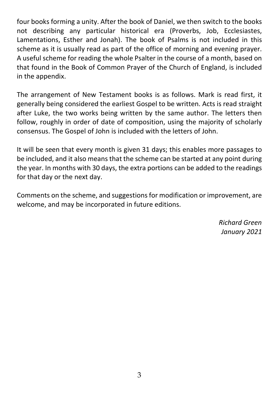four books forming a unity. After the book of Daniel, we then switch to the books not describing any particular historical era (Proverbs, Job, Ecclesiastes, Lamentations, Esther and Jonah). The book of Psalms is not included in this scheme as it is usually read as part of the office of morning and evening prayer. A useful scheme for reading the whole Psalter in the course of a month, based on that found in the Book of Common Prayer of the Church of England, is included in the appendix.

The arrangement of New Testament books is as follows. Mark is read first, it generally being considered the earliest Gospel to be written. Acts is read straight after Luke, the two works being written by the same author. The letters then follow, roughly in order of date of composition, using the majority of scholarly consensus. The Gospel of John is included with the letters of John.

It will be seen that every month is given 31 days; this enables more passages to be included, and it also means that the scheme can be started at any point during the year. In months with 30 days, the extra portions can be added to the readings for that day or the next day.

Comments on the scheme, and suggestions for modification or improvement, are welcome, and may be incorporated in future editions.

> Richard Green January 2021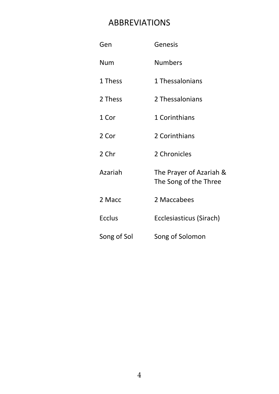## ABBREVIATIONS

| Gen           | Genesis                                          |
|---------------|--------------------------------------------------|
| Num           | <b>Numbers</b>                                   |
| 1 Thess       | 1 Thessalonians                                  |
| 2 Thess       | 2 Thessalonians                                  |
| 1 Cor         | 1 Corinthians                                    |
| 2 Cor         | 2 Corinthians                                    |
| 2 Chr         | 2 Chronicles                                     |
| Azariah       | The Prayer of Azariah &<br>The Song of the Three |
| 2 Macc        | 2 Maccabees                                      |
| <b>Ecclus</b> | Ecclesiasticus (Sirach)                          |
| Song of Sol   | Song of Solomon                                  |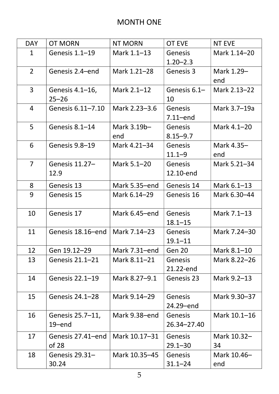## MONTH ONE

| <b>OT MORN</b><br><b>NT MORN</b><br><b>OT EVE</b><br><b>NT EVE</b><br><b>DAY</b><br>Genesis 1.1-19<br>Mark 1.1-13<br>Mark 1.14-20<br>Genesis<br>$\mathbf 1$<br>$1.20 - 2.3$<br>$2^{\circ}$<br>Mark 1.21-28<br>Genesis 2.4-end<br>Genesis 3<br>Mark 1.29-<br>end<br>$\mathbf{3}$<br>Mark 2.1-12<br>Genesis 6.1-<br>Mark 2.13-22<br>Genesis 4.1-16,<br>$25 - 26$<br>10<br>$\overline{4}$<br>Mark 2.23-3.6<br>Mark 3.7-19a<br>Genesis 6.11-7.10<br><b>Genesis</b><br>$7.11$ -end<br>5<br>Mark 3.19b-<br>Genesis $8.1 - 14$<br><b>Genesis</b><br>Mark 4.1-20<br>$8.15 - 9.7$<br>end<br>6<br>Genesis 9.8–19<br>Mark 4.21-34<br><b>Genesis</b><br>Mark 4.35-<br>$11.1 - 9$<br>end<br>$\overline{7}$<br>Genesis 11.27-<br>Mark 5.1-20<br>Mark 5.21-34<br><b>Genesis</b><br>12.9<br>12.10-end<br>Mark 5.35-end<br>8<br>Genesis 13<br>Mark 6.1-13<br>Genesis 14<br>9<br>Genesis 15<br>Mark 6.14-29<br>Genesis 16<br>Mark 6.30-44<br>10<br>Genesis 17<br>Mark 6.45-end<br><b>Genesis</b><br>Mark 7.1-13<br>$18.1 - 15$<br>11<br>Mark 7.14-23<br><b>Genesis</b><br>Mark 7.24-30<br>Genesis 18.16–end<br>$19.1 - 11$<br>12<br>Gen 19.12-29<br>Mark 7.31-end<br>Gen 20<br>Mark 8.1-10<br>13<br>Genesis 21.1-21<br>Mark 8.11-21<br>Mark 8.22-26<br><b>Genesis</b><br>21.22-end<br>14<br>Genesis 22.1-19<br>Mark 8.27-9.1<br>Genesis 23<br>Mark 9.2-13<br>15 <sub>1</sub><br>Mark 9.14-29<br>Genesis<br>Mark 9.30-37<br>Genesis 24.1-28<br>24.29-end<br>16<br>Mark 9.38-end<br>Mark 10.1-16<br>Genesis 25.7–11,<br>Genesis<br>$19$ –end<br>26.34-27.40<br>Mark 10.32-<br>Genesis 27.41-end<br>Mark 10.17-31<br>17<br><b>Genesis</b><br>of 28<br>$29.1 - 30$<br>34<br>18<br>Genesis 29.31-<br>Mark 10.35-45<br>Mark 10.46-<br><b>Genesis</b><br>30.24<br>$31.1 - 24$<br>end |  |  |  |
|-------------------------------------------------------------------------------------------------------------------------------------------------------------------------------------------------------------------------------------------------------------------------------------------------------------------------------------------------------------------------------------------------------------------------------------------------------------------------------------------------------------------------------------------------------------------------------------------------------------------------------------------------------------------------------------------------------------------------------------------------------------------------------------------------------------------------------------------------------------------------------------------------------------------------------------------------------------------------------------------------------------------------------------------------------------------------------------------------------------------------------------------------------------------------------------------------------------------------------------------------------------------------------------------------------------------------------------------------------------------------------------------------------------------------------------------------------------------------------------------------------------------------------------------------------------------------------------------------------------------------------------------------------------------------------------------------------------------------------------------------------------|--|--|--|
|                                                                                                                                                                                                                                                                                                                                                                                                                                                                                                                                                                                                                                                                                                                                                                                                                                                                                                                                                                                                                                                                                                                                                                                                                                                                                                                                                                                                                                                                                                                                                                                                                                                                                                                                                             |  |  |  |
|                                                                                                                                                                                                                                                                                                                                                                                                                                                                                                                                                                                                                                                                                                                                                                                                                                                                                                                                                                                                                                                                                                                                                                                                                                                                                                                                                                                                                                                                                                                                                                                                                                                                                                                                                             |  |  |  |
|                                                                                                                                                                                                                                                                                                                                                                                                                                                                                                                                                                                                                                                                                                                                                                                                                                                                                                                                                                                                                                                                                                                                                                                                                                                                                                                                                                                                                                                                                                                                                                                                                                                                                                                                                             |  |  |  |
|                                                                                                                                                                                                                                                                                                                                                                                                                                                                                                                                                                                                                                                                                                                                                                                                                                                                                                                                                                                                                                                                                                                                                                                                                                                                                                                                                                                                                                                                                                                                                                                                                                                                                                                                                             |  |  |  |
|                                                                                                                                                                                                                                                                                                                                                                                                                                                                                                                                                                                                                                                                                                                                                                                                                                                                                                                                                                                                                                                                                                                                                                                                                                                                                                                                                                                                                                                                                                                                                                                                                                                                                                                                                             |  |  |  |
|                                                                                                                                                                                                                                                                                                                                                                                                                                                                                                                                                                                                                                                                                                                                                                                                                                                                                                                                                                                                                                                                                                                                                                                                                                                                                                                                                                                                                                                                                                                                                                                                                                                                                                                                                             |  |  |  |
|                                                                                                                                                                                                                                                                                                                                                                                                                                                                                                                                                                                                                                                                                                                                                                                                                                                                                                                                                                                                                                                                                                                                                                                                                                                                                                                                                                                                                                                                                                                                                                                                                                                                                                                                                             |  |  |  |
|                                                                                                                                                                                                                                                                                                                                                                                                                                                                                                                                                                                                                                                                                                                                                                                                                                                                                                                                                                                                                                                                                                                                                                                                                                                                                                                                                                                                                                                                                                                                                                                                                                                                                                                                                             |  |  |  |
|                                                                                                                                                                                                                                                                                                                                                                                                                                                                                                                                                                                                                                                                                                                                                                                                                                                                                                                                                                                                                                                                                                                                                                                                                                                                                                                                                                                                                                                                                                                                                                                                                                                                                                                                                             |  |  |  |
|                                                                                                                                                                                                                                                                                                                                                                                                                                                                                                                                                                                                                                                                                                                                                                                                                                                                                                                                                                                                                                                                                                                                                                                                                                                                                                                                                                                                                                                                                                                                                                                                                                                                                                                                                             |  |  |  |
|                                                                                                                                                                                                                                                                                                                                                                                                                                                                                                                                                                                                                                                                                                                                                                                                                                                                                                                                                                                                                                                                                                                                                                                                                                                                                                                                                                                                                                                                                                                                                                                                                                                                                                                                                             |  |  |  |
|                                                                                                                                                                                                                                                                                                                                                                                                                                                                                                                                                                                                                                                                                                                                                                                                                                                                                                                                                                                                                                                                                                                                                                                                                                                                                                                                                                                                                                                                                                                                                                                                                                                                                                                                                             |  |  |  |
|                                                                                                                                                                                                                                                                                                                                                                                                                                                                                                                                                                                                                                                                                                                                                                                                                                                                                                                                                                                                                                                                                                                                                                                                                                                                                                                                                                                                                                                                                                                                                                                                                                                                                                                                                             |  |  |  |
|                                                                                                                                                                                                                                                                                                                                                                                                                                                                                                                                                                                                                                                                                                                                                                                                                                                                                                                                                                                                                                                                                                                                                                                                                                                                                                                                                                                                                                                                                                                                                                                                                                                                                                                                                             |  |  |  |
|                                                                                                                                                                                                                                                                                                                                                                                                                                                                                                                                                                                                                                                                                                                                                                                                                                                                                                                                                                                                                                                                                                                                                                                                                                                                                                                                                                                                                                                                                                                                                                                                                                                                                                                                                             |  |  |  |
|                                                                                                                                                                                                                                                                                                                                                                                                                                                                                                                                                                                                                                                                                                                                                                                                                                                                                                                                                                                                                                                                                                                                                                                                                                                                                                                                                                                                                                                                                                                                                                                                                                                                                                                                                             |  |  |  |
|                                                                                                                                                                                                                                                                                                                                                                                                                                                                                                                                                                                                                                                                                                                                                                                                                                                                                                                                                                                                                                                                                                                                                                                                                                                                                                                                                                                                                                                                                                                                                                                                                                                                                                                                                             |  |  |  |
|                                                                                                                                                                                                                                                                                                                                                                                                                                                                                                                                                                                                                                                                                                                                                                                                                                                                                                                                                                                                                                                                                                                                                                                                                                                                                                                                                                                                                                                                                                                                                                                                                                                                                                                                                             |  |  |  |
|                                                                                                                                                                                                                                                                                                                                                                                                                                                                                                                                                                                                                                                                                                                                                                                                                                                                                                                                                                                                                                                                                                                                                                                                                                                                                                                                                                                                                                                                                                                                                                                                                                                                                                                                                             |  |  |  |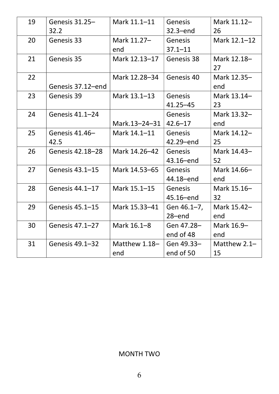| 19 | Genesis $31.25-$  | Mark 11.1-11    | <b>Genesis</b> | Mark 11.12-  |
|----|-------------------|-----------------|----------------|--------------|
|    | 32.2              |                 | $32.3$ -end    | 26           |
| 20 | Genesis 33        | Mark 11.27-     | <b>Genesis</b> | Mark 12.1-12 |
|    |                   | end             | $37.1 - 11$    |              |
| 21 | Genesis 35        | Mark 12.13-17   | Genesis 38     | Mark 12.18-  |
|    |                   |                 |                | 27           |
| 22 |                   | Mark 12.28-34   | Genesis 40     | Mark 12.35-  |
|    | Genesis 37.12-end |                 |                | end          |
| 23 | Genesis 39        | Mark 13.1-13    | <b>Genesis</b> | Mark 13.14-  |
|    |                   |                 | $41.25 - 45$   | 23           |
| 24 | Genesis 41.1-24   |                 | <b>Genesis</b> | Mark 13.32-  |
|    |                   | Mark.13-24-31   | $42.6 - 17$    | end          |
| 25 | Genesis 41.46-    | Mark 14.1-11    | <b>Genesis</b> | Mark 14.12-  |
|    | 42.5              |                 | 42.29-end      | 25           |
| 26 | Genesis 42.18-28  | Mark 14.26-42   | <b>Genesis</b> | Mark 14.43-  |
|    |                   |                 | 43.16-end      | 52           |
| 27 | Genesis 43.1-15   | Mark 14.53-65   | <b>Genesis</b> | Mark 14.66-  |
|    |                   |                 | 44.18-end      | end          |
| 28 | Genesis 44.1-17   | Mark 15.1-15    | <b>Genesis</b> | Mark 15.16-  |
|    |                   |                 | 45.16-end      | 32           |
| 29 | Genesis 45.1-15   | Mark 15.33-41   | Gen 46.1-7,    | Mark 15.42-  |
|    |                   |                 | $28 - end$     | end          |
| 30 | Genesis 47.1-27   | Mark 16.1-8     | Gen 47.28-     | Mark 16.9-   |
|    |                   |                 | end of 48      | end          |
| 31 | Genesis 49.1-32   | Matthew $1.18-$ | Gen 49.33-     | Matthew 2.1- |
|    |                   | end             | end of 50      | 15           |

#### MONTH TWO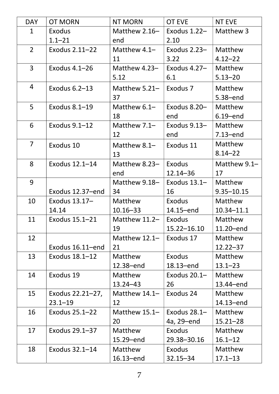| <b>DAY</b>     | <b>OT MORN</b>   | <b>NT MORN</b>  | OT EVE         | <b>NT EVE</b>  |
|----------------|------------------|-----------------|----------------|----------------|
| $\mathbf{1}$   | Exodus           | Matthew $2.16-$ | Exodus 1.22-   | Matthew 3      |
|                | $1.1 - 21$       | end             | 2.10           |                |
| $2^{\circ}$    | Exodus 2.11-22   | Matthew 4.1-    | Exodus $2.23-$ | Matthew        |
|                |                  | 11              | 3.22           | $4.12 - 22$    |
| $\mathbf{3}$   | Exodus 4.1-26    | Matthew 4.23-   | Exodus 4.27-   | Matthew        |
|                |                  | 5.12            | 6.1            | $5.13 - 20$    |
| 4              | Exodus 6.2-13    | Matthew 5.21-   | Exodus 7       | Matthew        |
|                |                  | 37              |                | 5.38-end       |
| 5              | Exodus 8.1-19    | Matthew 6.1-    | Exodus 8.20-   | Matthew        |
|                |                  | 18              | end            | $6.19$ -end    |
| 6              | Exodus 9.1-12    | Matthew 7.1-    | Exodus 9.13-   | Matthew        |
|                |                  | 12              | end            | $7.13$ -end    |
| $\overline{7}$ | Exodus 10        | Matthew 8.1-    | Exodus 11      | Matthew        |
|                |                  | 13              |                | $8.14 - 22$    |
| 8              | Exodus 12.1-14   | Matthew 8.23-   | Exodus         | Matthew 9.1-   |
|                |                  | end             | $12.14 - 36$   | 17             |
| 9              |                  | Matthew 9.18-   | Exodus $13.1-$ | Matthew        |
|                | Exodus 12.37-end | 34              | 16             | $9.35 - 10.15$ |
| 10             | Exodus 13.17-    | Matthew         | Exodus         | Matthew        |
|                | 14.14            | $10.16 - 33$    | 14.15-end      | $10.34 - 11.1$ |
| 11             | Exodus 15.1–21   | Matthew $11.2-$ | Exodus         | Matthew        |
|                |                  | 19              | 15.22-16.10    | 11.20-end      |
| 12             |                  | Matthew 12.1-   | Exodus 17      | Matthew        |
|                | Exodus 16.11-end | 21              |                | $12.22 - 37$   |
| 13             | Exodus 18.1-12   | Matthew         | Exodus         | Matthew        |
|                |                  | 12.38-end       | 18.13-end      | $13.1 - 23$    |
| 14             | Exodus 19        | Matthew         | Exodus $20.1-$ | Matthew        |
|                |                  | $13.24 - 43$    | 26             | 13.44-end      |
| 15             | Exodus 22.21-27, | Matthew 14.1-   | Exodus 24      | Matthew        |
|                | $23.1 - 19$      | 12              |                | 14.13-end      |
| 16             | Exodus 25.1-22   | Matthew 15.1-   | Exodus 28.1-   | Matthew        |
|                |                  | 20              | 4a, 29-end     | $15.21 - 28$   |
| 17             | Exodus 29.1-37   | Matthew         | <b>Exodus</b>  | Matthew        |
|                |                  | 15.29-end       | 29.38-30.16    | $16.1 - 12$    |
| 18             | Exodus 32.1-14   | Matthew         | Exodus         | Matthew        |
|                |                  | $16.13 - end$   | 32.15–34       | $17.1 - 13$    |
|                |                  |                 |                |                |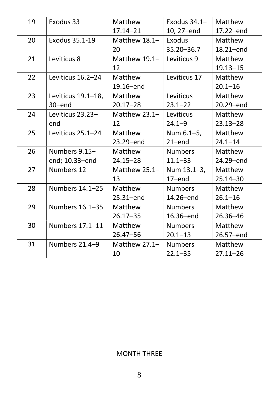| 19 | Exodus 33          | Matthew        | Exodus $34.1-$ | Matthew      |
|----|--------------------|----------------|----------------|--------------|
|    |                    | $17.14 - 21$   | 10, 27-end     | 17.22-end    |
| 20 | Exodus 35.1-19     | Matthew 18.1-  | Exodus         | Matthew      |
|    |                    | 20             | 35.20 - 36.7   | 18.21-end    |
| 21 | Leviticus 8        | Matthew 19.1-  | Leviticus 9    | Matthew      |
|    |                    | 12             |                | $19.13 - 15$ |
| 22 | Leviticus 16.2-24  | Matthew        | Leviticus 17   | Matthew      |
|    |                    | 19.16-end      |                | $20.1 - 16$  |
| 23 | Leviticus 19.1-18, | Matthew        | Leviticus      | Matthew      |
|    | 30-end             | $20.17 - 28$   | $23.1 - 22$    | 20.29-end    |
| 24 | Leviticus 23.23-   | Matthew 23.1-  | Leviticus      | Matthew      |
|    | end                | 12             | $24.1 - 9$     | $23.13 - 28$ |
| 25 | Leviticus 25.1-24  | <b>Matthew</b> | Num 6.1-5,     | Matthew      |
|    |                    | 23.29-end      | $21$ -end      | $24.1 - 14$  |
| 26 | Numbers 9.15-      | <b>Matthew</b> | <b>Numbers</b> | Matthew      |
|    | end; 10.33-end     | $24.15 - 28$   | $11.1 - 33$    | 24.29-end    |
| 27 | <b>Numbers 12</b>  | Matthew 25.1-  | Num 13.1-3,    | Matthew      |
|    |                    | 13             | $17$ -end      | $25.14 - 30$ |
| 28 | Numbers 14.1-25    | <b>Matthew</b> | <b>Numbers</b> | Matthew      |
|    |                    | $25.31 - end$  | 14.26-end      | $26.1 - 16$  |
| 29 | Numbers 16.1-35    | Matthew        | <b>Numbers</b> | Matthew      |
|    |                    | $26.17 - 35$   | 16.36-end      | $26.36 - 46$ |
| 30 | Numbers 17.1-11    | <b>Matthew</b> | <b>Numbers</b> | Matthew      |
|    |                    | $26.47 - 56$   | $20.1 - 13$    | 26.57-end    |
| 31 | Numbers 21.4-9     | Matthew 27.1-  | <b>Numbers</b> | Matthew      |
|    |                    | 10             | $22.1 - 35$    | $27.11 - 26$ |

#### MONTH THREE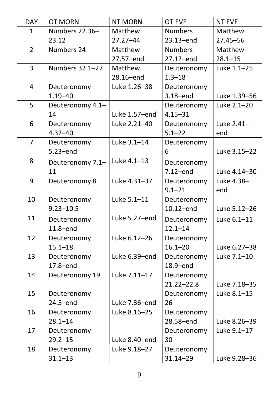| <b>DAY</b>     | <b>OT MORN</b>    | <b>NT MORN</b> | <b>OT EVE</b>  | <b>NT EVE</b> |
|----------------|-------------------|----------------|----------------|---------------|
| $\mathbf{1}$   | Numbers 22.36-    | Matthew        | <b>Numbers</b> | Matthew       |
|                | 23.12             | $27.27 - 44$   | 23.13-end      | $27.45 - 56$  |
| $\overline{2}$ | <b>Numbers 24</b> | Matthew        | <b>Numbers</b> | Matthew       |
|                |                   | 27.57-end      | 27.12-end      | $28.1 - 15$   |
| $\overline{3}$ | Numbers 32.1-27   | Matthew        | Deuteronomy    | Luke 1.1-25   |
|                |                   | 28.16-end      | $1.3 - 18$     |               |
| $\overline{4}$ | Deuteronomy       | Luke 1.26-38   | Deuteronomy    |               |
|                | $1.19 - 40$       |                | $3.18 - end$   | Luke 1.39-56  |
| 5              | Deuteronomy 4.1-  |                | Deuteronomy    | Luke 2.1-20   |
|                | 14                | Luke 1.57-end  | $4.15 - 31$    |               |
| 6              | Deuteronomy       | Luke 2.21-40   | Deuteronomy    | Luke 2.41-    |
|                | $4.32 - 40$       |                | $5.1 - 22$     | end           |
| $\overline{7}$ | Deuteronomy       | Luke 3.1-14    | Deuteronomy    |               |
|                | 5.23-end          |                | 6              | Luke 3.15-22  |
| 8              | Deuteronomy 7.1-  | Luke 4.1-13    | Deuteronomy    |               |
|                | 11                |                | $7.12$ -end    | Luke 4.14-30  |
| 9              | Deuteronomy 8     | Luke 4.31-37   | Deuteronomy    | Luke 4.38-    |
|                |                   |                | $9.1 - 21$     | end           |
| 10             | Deuteronomy       | Luke 5.1-11    | Deuteronomy    |               |
|                | $9.23 - 10.5$     |                | 10.12-end      | Luke 5.12-26  |
| 11             | Deuteronomy       | Luke 5.27-end  | Deuteronomy    | Luke 6.1-11   |
|                | 11.8-end          |                | $12.1 - 14$    |               |
| 12             | Deuteronomy       | Luke 6.12-26   | Deuteronomy    |               |
|                | $15.1 - 18$       |                | $16.1 - 20$    | Luke 6.27-38  |
| 13             | Deuteronomy       | Luke 6.39-end  | Deuteronomy    | Luke 7.1-10   |
|                | $17.8 - end$      |                | 18.9-end       |               |
| 14             | Deuteronomy 19    | Luke 7.11-17   | Deuteronomy    |               |
|                |                   |                | $21.22 - 22.8$ | Luke 7.18-35  |
| 15             | Deuteronomy       |                | Deuteronomy    | Luke 8.1-15   |
|                | $24.5$ -end       | Luke 7.36-end  | 26             |               |
| 16             | Deuteronomy       | Luke 8.16-25   | Deuteronomy    |               |
|                | $28.1 - 14$       |                | 28.58-end      | Luke 8.26-39  |
| 17             | Deuteronomy       |                | Deuteronomy    | Luke 9.1-17   |
|                | $29.2 - 15$       | Luke 8.40-end  | 30             |               |
| 18             | Deuteronomy       | Luke 9.18-27   | Deuteronomy    |               |
|                | $31.1 - 13$       |                | $31.14 - 29$   | Luke 9.28-36  |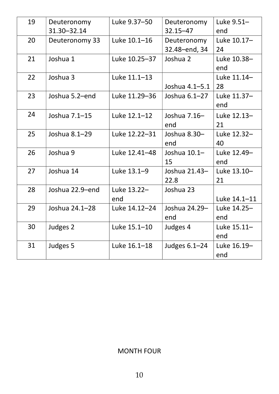| 19 | Deuteronomy     | Luke 9.37-50  | Deuteronomy     | Luke 9.51-   |
|----|-----------------|---------------|-----------------|--------------|
|    | 31.30-32.14     |               | $32.15 - 47$    | end          |
| 20 | Deuteronomy 33  | Luke 10.1-16  | Deuteronomy     | Luke 10.17-  |
|    |                 |               | 32.48-end, 34   | 24           |
| 21 | Joshua 1        | Luke 10.25-37 | Joshua 2        | Luke 10.38-  |
|    |                 |               |                 | end          |
| 22 | Joshua 3        | Luke 11.1-13  |                 | Luke 11.14-  |
|    |                 |               | Joshua 4.1-5.1  | 28           |
| 23 | Joshua 5.2-end  | Luke 11.29-36 | Joshua 6.1-27   | Luke 11.37-  |
|    |                 |               |                 | end          |
| 24 | Joshua 7.1-15   | Luke 12.1-12  | Joshua 7.16-    | Luke 12.13-  |
|    |                 |               | end             | 21           |
| 25 | Joshua 8.1-29   | Luke 12.22-31 | Joshua 8.30-    | Luke 12.32-  |
|    |                 |               | end             | 40           |
| 26 | Joshua 9        | Luke 12.41-48 | Joshua $10.1-$  | Luke 12.49-  |
|    |                 |               | 15              | end          |
| 27 | Joshua 14       | Luke 13.1-9   | Joshua 21.43-   | Luke 13.10-  |
|    |                 |               | 22.8            | 21           |
| 28 | Joshua 22.9-end | Luke 13.22-   | Joshua 23       |              |
|    |                 | end           |                 | Luke 14.1-11 |
| 29 | Joshua 24.1-28  | Luke 14.12-24 | Joshua 24.29-   | Luke 14.25-  |
|    |                 |               | end             | end          |
| 30 | Judges 2        | Luke 15.1-10  | Judges 4        | Luke 15.11-  |
|    |                 |               |                 | end          |
| 31 | Judges 5        | Luke 16.1-18  | Judges $6.1-24$ | Luke 16.19-  |
|    |                 |               |                 | end          |
|    |                 |               |                 |              |

#### MONTH FOUR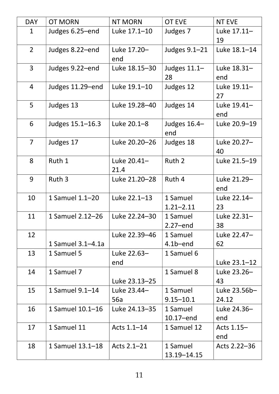| <b>DAY</b>     | <b>OT MORN</b>    | <b>NT MORN</b>      | <b>OT EVE</b>             | <b>NT EVE</b>         |
|----------------|-------------------|---------------------|---------------------------|-----------------------|
| $\mathbf{1}$   | Judges 6.25-end   | Luke 17.1-10        | Judges 7                  | Luke 17.11-<br>19     |
| $\overline{2}$ | Judges 8.22-end   | Luke 17.20-<br>end  | Judges 9.1-21             | Luke 18.1-14          |
| 3              | Judges 9.22-end   | Luke 18.15-30       | Judges $11.1-$<br>28      | Luke 18.31-<br>end    |
| 4              | Judges 11.29-end  | Luke 19.1-10        | Judges 12                 | Luke 19.11-<br>27     |
| 5              | Judges 13         | Luke 19.28-40       | Judges 14                 | Luke 19.41-<br>end    |
| 6              | Judges 15.1-16.3  | Luke 20.1-8         | Judges 16.4-<br>end       | Luke 20.9-19          |
| $\overline{7}$ | Judges 17         | Luke 20.20-26       | Judges 18                 | Luke 20.27-<br>40     |
| 8              | Ruth 1            | Luke 20.41-<br>21.4 | Ruth 2                    | Luke 21.5-19          |
| 9              | Ruth 3            | Luke 21.20-28       | Ruth 4                    | Luke 21.29-<br>end    |
| 10             | 1 Samuel 1.1-20   | Luke 22.1-13        | 1 Samuel<br>$1.21 - 2.11$ | Luke 22.14-<br>23     |
| 11             | 1 Samuel 2.12-26  | Luke 22.24-30       | 1 Samuel<br>$2.27$ –end   | Luke 22.31-<br>38     |
| 12             | 1 Samuel 3.1-4.1a | Luke 22.39-46       | 1 Samuel<br>$4.1b$ –end   | Luke 22.47-<br>62     |
| 13             | 1 Samuel 5        | Luke 22.63-<br>end  | 1 Samuel 6                | Luke 23.1-12          |
| 14             | 1 Samuel 7        | Luke 23.13-25       | 1 Samuel 8                | Luke 23.26-<br>43     |
| 15             | 1 Samuel 9.1-14   | Luke 23.44-<br>56a  | 1 Samuel<br>$9.15 - 10.1$ | Luke 23.56b-<br>24.12 |
| 16             | 1 Samuel 10.1-16  | Luke 24.13-35       | 1 Samuel<br>10.17-end     | Luke 24.36-<br>end    |
| 17             | 1 Samuel 11       | Acts 1.1-14         | 1 Samuel 12               | Acts 1.15-<br>end     |
| 18             | 1 Samuel 13.1-18  | Acts 2.1-21         | 1 Samuel<br>13.19 - 14.15 | Acts 2.22-36          |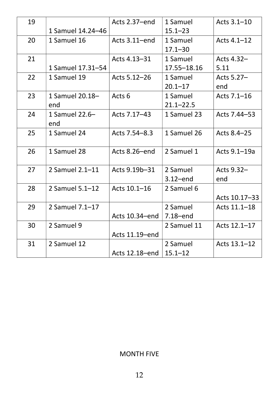|                   | Acts 2.37-end     | 1 Samuel      | Acts 3.1-10   |
|-------------------|-------------------|---------------|---------------|
| 1 Samuel 14.24-46 |                   | $15.1 - 23$   |               |
| 1 Samuel 16       | Acts 3.11-end     | 1 Samuel      | Acts 4.1-12   |
|                   |                   | $17.1 - 30$   |               |
|                   | Acts 4.13-31      | 1 Samuel      | Acts 4.32-    |
| 1 Samuel 17.31-54 |                   | 17.55 - 18.16 | 5.11          |
| 1 Samuel 19       | Acts 5.12-26      | 1 Samuel      | Acts 5.27-    |
|                   |                   | $20.1 - 17$   | end           |
| 1 Samuel 20.18-   | Acts <sub>6</sub> | 1 Samuel      | Acts 7.1-16   |
| end               |                   | $21.1 - 22.5$ |               |
| 1 Samuel 22.6-    | Acts 7.17-43      | 1 Samuel 23   | Acts 7.44–53  |
| end               |                   |               |               |
| 1 Samuel 24       | Acts 7.54–8.3     | 1 Samuel 26   | Acts 8.4–25   |
|                   |                   |               |               |
| 1 Samuel 28       | Acts 8.26-end     | 2 Samuel 1    | Acts 9.1-19a  |
|                   |                   |               |               |
| 2 Samuel 2.1-11   | Acts 9.19b-31     | 2 Samuel      | Acts 9.32-    |
|                   |                   | $3.12$ -end   | end           |
| 2 Samuel 5.1-12   | Acts 10.1-16      | 2 Samuel 6    |               |
|                   |                   |               | Acts 10.17-33 |
| 2 Samuel 7.1-17   |                   | 2 Samuel      | Acts 11.1-18  |
|                   | Acts 10.34-end    | 7.18-end      |               |
| 2 Samuel 9        |                   | 2 Samuel 11   | Acts 12.1-17  |
|                   | Acts 11.19-end    |               |               |
| 2 Samuel 12       |                   | 2 Samuel      | Acts 13.1-12  |
|                   | Acts 12.18-end    | $15.1 - 12$   |               |
|                   |                   |               |               |

#### MONTH FIVE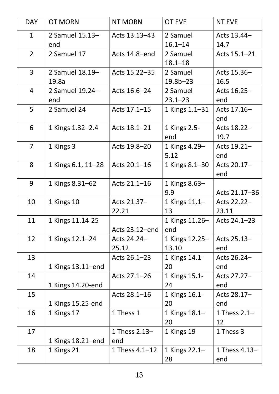| <b>DAY</b>     | <b>OT MORN</b>     | <b>NT MORN</b>     | <b>OT EVE</b>  | <b>NT EVE</b>  |
|----------------|--------------------|--------------------|----------------|----------------|
| $\mathbf{1}$   | 2 Samuel 15.13-    | Acts 13.13-43      | 2 Samuel       | Acts 13.44-    |
|                | end                |                    | $16.1 - 14$    | 14.7           |
| $\overline{2}$ | 2 Samuel 17        | Acts 14.8-end      | 2 Samuel       | Acts 15.1-21   |
|                |                    |                    | $18.1 - 18$    |                |
| 3              | 2 Samuel 18.19-    | Acts 15.22-35      | 2 Samuel       | Acts 15.36-    |
|                | 19.8a              |                    | $19.8b-23$     | 16.5           |
| $\overline{4}$ | 2 Samuel 19.24-    | Acts 16.6-24       | 2 Samuel       | Acts 16.25-    |
|                | end                |                    | $23.1 - 23$    | end            |
| 5 <sup>1</sup> | 2 Samuel 24        | Acts 17.1-15       | 1 Kings 1.1-31 | Acts 17.16-    |
|                |                    |                    |                | end            |
| 6              | 1 Kings 1.32-2.4   | Acts 18.1-21       | 1 Kings 2.5-   | Acts 18.22-    |
|                |                    |                    | end            | 19.7           |
| $\overline{7}$ | 1 Kings 3          | Acts 19.8-20       | 1 Kings 4.29-  | Acts 19.21-    |
|                |                    |                    | 5.12           | end            |
| 8              | 1 Kings 6.1, 11–28 | Acts 20.1-16       | 1 Kings 8.1-30 | Acts 20.17-    |
|                |                    |                    |                | end            |
| 9              | 1 Kings 8.31-62    | Acts 21.1-16       | 1 Kings 8.63-  |                |
|                |                    |                    | 9.9            | Acts 21.17-36  |
| 10             | 1 Kings 10         | Acts 21.37-        | 1 Kings 11.1-  | Acts 22.22-    |
|                |                    | 22.21              | 13             | 23.11          |
| 11             | 1 Kings 11.14-25   |                    | 1 Kings 11.26- | Acts 24.1-23   |
|                |                    | Acts 23.12-end     | end            |                |
| 12             | 1 Kings 12.1-24    | Acts 24.24-        | 1 Kings 12.25- | Acts 25.13-    |
|                |                    | 25.12              | 13.10          | end            |
| 13             |                    | Acts 26.1-23       | 1 Kings 14.1-  | Acts 26.24-    |
|                | 1 Kings 13.11-end  |                    | 20             | end            |
| 14             |                    | Acts 27.1-26       | 1 Kings 15.1-  | Acts 27.27-    |
|                | 1 Kings 14.20-end  |                    | 24             | end            |
| 15             |                    | Acts 28.1-16       | 1 Kings 16.1-  | Acts 28.17-    |
|                | 1 Kings 15.25-end  |                    | 20             | end            |
| 16             | 1 Kings 17         | 1 Thess 1          | 1 Kings 18.1-  | 1 Thess $2.1-$ |
|                |                    |                    | 20             | 12             |
| 17             |                    | 1 Thess 2.13-      | 1 Kings 19     | 1 Thess 3      |
|                | 1 Kings 18.21–end  | end                |                |                |
| 18             | 1 Kings 21         | 1 Thess $4.1 - 12$ | 1 Kings 22.1-  | 1 Thess 4.13-  |
|                |                    |                    | 28             | end            |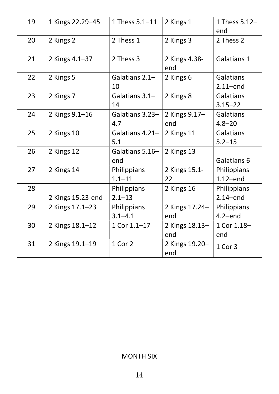| 1 Thess 5.1-11<br>1 Thess 5.12-<br>19<br>1 Kings 22.29-45<br>2 Kings 1<br>end<br>2 Kings 3<br>20<br>2 Kings 2<br>2 Thess 1<br>2 Thess 2<br>2 Thess 3<br>21<br>2 Kings 4.1-37<br>2 Kings 4.38-<br>Galatians 1<br>end<br>22<br>2 Kings 5<br>Galatians 2.1-<br><b>Galatians</b><br>2 Kings 6<br>10<br>$2.11$ -end<br>23<br>2 Kings 7<br>2 Kings 8<br>Galatians 3.1-<br><b>Galatians</b><br>14<br>$3.15 - 22$<br>2 Kings 9.17-<br>24<br>2 Kings $9.1 - 16$<br>Galatians 3.23-<br><b>Galatians</b><br>4.7<br>$4.8 - 20$<br>end<br>2 Kings 11<br>25<br>2 Kings 10<br>Galatians 4.21-<br><b>Galatians</b><br>5.1<br>$5.2 - 15$<br>26<br>2 Kings 12<br>2 Kings 13<br>Galatians 5.16-<br>Galatians 6<br>end<br>27<br>2 Kings 14<br>Philippians<br>2 Kings 15.1-<br>Philippians<br>$1.1 - 11$<br>$1.12$ -end<br>22<br>28<br>2 Kings 16<br>Philippians<br>Philippians<br>2 Kings 15.23-end<br>$2.1 - 13$<br>$2.14$ -end<br>29<br>2 Kings 17.1-23<br>2 Kings 17.24-<br>Philippians<br><b>Philippians</b><br>$4.2$ -end<br>$3.1 - 4.1$<br>end<br>30<br>2 Kings 18.1-12<br>1 Cor 1.1-17<br>1 Cor 1.18-<br>2 Kings 18.13-<br>end<br>end<br>1 Cor 2<br>31<br>2 Kings 19.1-19<br>2 Kings 19.20-<br>1 Cor 3<br>end |  |  |  |
|--------------------------------------------------------------------------------------------------------------------------------------------------------------------------------------------------------------------------------------------------------------------------------------------------------------------------------------------------------------------------------------------------------------------------------------------------------------------------------------------------------------------------------------------------------------------------------------------------------------------------------------------------------------------------------------------------------------------------------------------------------------------------------------------------------------------------------------------------------------------------------------------------------------------------------------------------------------------------------------------------------------------------------------------------------------------------------------------------------------------------------------------------------------------------------------------------|--|--|--|
|                                                                                                                                                                                                                                                                                                                                                                                                                                                                                                                                                                                                                                                                                                                                                                                                                                                                                                                                                                                                                                                                                                                                                                                                  |  |  |  |
|                                                                                                                                                                                                                                                                                                                                                                                                                                                                                                                                                                                                                                                                                                                                                                                                                                                                                                                                                                                                                                                                                                                                                                                                  |  |  |  |
|                                                                                                                                                                                                                                                                                                                                                                                                                                                                                                                                                                                                                                                                                                                                                                                                                                                                                                                                                                                                                                                                                                                                                                                                  |  |  |  |
|                                                                                                                                                                                                                                                                                                                                                                                                                                                                                                                                                                                                                                                                                                                                                                                                                                                                                                                                                                                                                                                                                                                                                                                                  |  |  |  |
|                                                                                                                                                                                                                                                                                                                                                                                                                                                                                                                                                                                                                                                                                                                                                                                                                                                                                                                                                                                                                                                                                                                                                                                                  |  |  |  |
|                                                                                                                                                                                                                                                                                                                                                                                                                                                                                                                                                                                                                                                                                                                                                                                                                                                                                                                                                                                                                                                                                                                                                                                                  |  |  |  |
|                                                                                                                                                                                                                                                                                                                                                                                                                                                                                                                                                                                                                                                                                                                                                                                                                                                                                                                                                                                                                                                                                                                                                                                                  |  |  |  |
|                                                                                                                                                                                                                                                                                                                                                                                                                                                                                                                                                                                                                                                                                                                                                                                                                                                                                                                                                                                                                                                                                                                                                                                                  |  |  |  |
|                                                                                                                                                                                                                                                                                                                                                                                                                                                                                                                                                                                                                                                                                                                                                                                                                                                                                                                                                                                                                                                                                                                                                                                                  |  |  |  |
|                                                                                                                                                                                                                                                                                                                                                                                                                                                                                                                                                                                                                                                                                                                                                                                                                                                                                                                                                                                                                                                                                                                                                                                                  |  |  |  |
|                                                                                                                                                                                                                                                                                                                                                                                                                                                                                                                                                                                                                                                                                                                                                                                                                                                                                                                                                                                                                                                                                                                                                                                                  |  |  |  |
|                                                                                                                                                                                                                                                                                                                                                                                                                                                                                                                                                                                                                                                                                                                                                                                                                                                                                                                                                                                                                                                                                                                                                                                                  |  |  |  |
|                                                                                                                                                                                                                                                                                                                                                                                                                                                                                                                                                                                                                                                                                                                                                                                                                                                                                                                                                                                                                                                                                                                                                                                                  |  |  |  |

#### MONTH SIX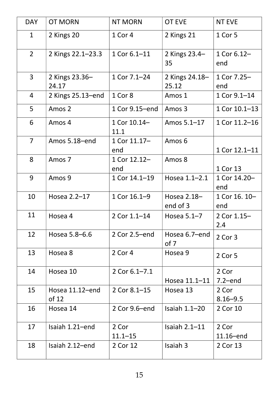| <b>DAY</b>     | <b>OT MORN</b>           | <b>NT MORN</b>       | <b>OT EVE</b>           | <b>NT EVE</b>         |
|----------------|--------------------------|----------------------|-------------------------|-----------------------|
| $\mathbf{1}$   | 2 Kings 20               | 1 Cor 4              | 2 Kings 21              | 1 Cor 5               |
| $2^{\circ}$    | 2 Kings 22.1-23.3        | 1 Cor 6.1-11         | 2 Kings 23.4-<br>35     | 1 Cor 6.12-<br>end    |
| $\overline{3}$ | 2 Kings 23.36-<br>24.17  | 1 Cor 7.1-24         | 2 Kings 24.18-<br>25.12 | 1 Cor 7.25-<br>end    |
| $\overline{4}$ | 2 Kings 25.13-end        | 1 Cor 8              | Amos 1                  | 1 Cor 9.1-14          |
| 5              | Amos 2                   | 1 Cor 9.15-end       | Amos 3                  | 1 Cor 10.1-13         |
| 6              | Amos 4                   | 1 Cor 10.14-<br>11.1 | Amos 5.1-17             | 1 Cor 11.2-16         |
| $\overline{7}$ | Amos 5.18-end            | 1 Cor 11.17-<br>end  | Amos 6                  | 1 Cor 12.1-11         |
| 8              | Amos 7                   | 1 Cor 12.12-<br>end  | Amos 8                  | 1 Cor 13              |
| 9              | Amos 9                   | 1 Cor 14.1-19        | Hosea 1.1-2.1           | 1 Cor 14.20-<br>end   |
| 10             | Hosea 2.2-17             | 1 Cor 16.1-9         | Hosea 2.18-<br>end of 3 | 1 Cor 16. 10-<br>end  |
| 11             | Hosea 4                  | 2 Cor 1.1-14         | Hosea $5.1 - 7$         | 2 Cor 1.15-<br>2.4    |
| 12             | Hosea 5.8-6.6            | 2 Cor 2.5-end        | Hosea 6.7-end<br>of 7   | 2 Cor 3               |
| 13             | Hosea 8                  | 2 Cor 4              | Hosea 9                 | 2 Cor 5               |
| 14             | Hosea 10                 | 2 Cor 6.1-7.1        | Hosea 11.1-11           | 2 Cor<br>$7.2$ -end   |
| 15             | Hosea 11.12-end<br>of 12 | 2 Cor 8.1-15         | Hosea 13                | 2 Cor<br>$8.16 - 9.5$ |
| 16             | Hosea 14                 | 2 Cor 9.6-end        | Isaiah $1.1-20$         | 2 Cor 10              |
| 17             | Isaiah 1.21-end          | 2 Cor<br>$11.1 - 15$ | Isaiah $2.1 - 11$       | 2 Cor<br>$11.16$ -end |
| 18             | Isaiah 2.12-end          | 2 Cor 12             | Isaiah 3                | 2 Cor 13              |
|                |                          |                      |                         |                       |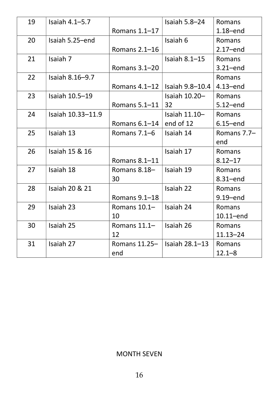| 19 | Isaiah $4.1 - 5.7$ |                                     | Isaiah $5.8 - 24$ | Romans        |
|----|--------------------|-------------------------------------|-------------------|---------------|
|    |                    | Romans 1.1-17                       |                   | $1.18 - end$  |
| 20 | Isaiah 5.25-end    |                                     | Isaiah 6          | Romans        |
|    |                    | Romans 2.1-16                       |                   | $2.17$ -end   |
| 21 | Isaiah 7           |                                     | Isaiah $8.1 - 15$ | <b>Romans</b> |
|    |                    | Romans 3.1-20                       |                   | $3.21$ -end   |
| 22 | Isaiah 8.16-9.7    |                                     |                   | Romans        |
|    |                    | Romans $4.1 - 12$                   | l Isaiah 9.8–10.4 | $4.13 - end$  |
| 23 | Isaiah 10.5-19     |                                     | Isaiah 10.20-     | Romans        |
|    |                    | Romans 5.1-11                       | 32                | $5.12$ -end   |
| 24 | Isaiah 10.33-11.9  |                                     | Isaiah $11.10-$   | <b>Romans</b> |
|    |                    | Romans $6.1-14$                     | end of 12         | $6.15$ -end   |
| 25 | Isaiah 13          | Romans $7.1-6$                      | Isaiah 14         | Romans 7.7-   |
|    |                    |                                     |                   | end           |
| 26 | Isaiah 15 & 16     |                                     | Isaiah 17         | Romans        |
|    |                    | Romans 8.1-11                       |                   | $8.12 - 17$   |
| 27 | Isaiah 18          | Romans 8.18-                        | Isaiah 19         | Romans        |
|    |                    | 30                                  |                   | 8.31-end      |
| 28 | Isaiah 20 & 21     |                                     | Isaiah 22         | <b>Romans</b> |
|    |                    | Romans 9.1-18                       |                   | $9.19 - end$  |
| 29 | Isaiah 23          | Romans 10.1-                        | Isaiah 24         | Romans        |
|    |                    | 10                                  |                   | $10.11$ -end  |
| 30 | Isaiah 25          | Romans $11.1-$                      | Isaiah 26         | Romans        |
|    |                    | 12                                  |                   | $11.13 - 24$  |
| 31 | Isaiah 27          | Romans $11.25 -$ Isaiah $28.1 - 13$ |                   | Romans        |
|    |                    | end                                 |                   | $12.1 - 8$    |
|    |                    |                                     |                   |               |

#### MONTH SEVEN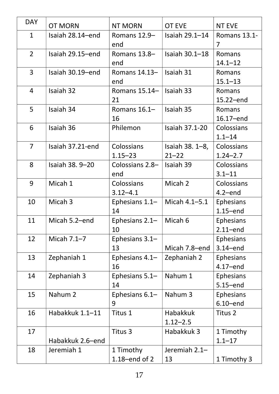| <b>DAY</b>     | <b>OT MORN</b>   | <b>NT MORN</b>   | <b>OT EVE</b>   | <b>NT EVE</b> |
|----------------|------------------|------------------|-----------------|---------------|
| $\mathbf{1}$   | Isaiah 28.14-end | Romans 12.9-     | Isaiah 29.1-14  | Romans 13.1-  |
|                |                  | end              |                 | 7             |
| $2^{\circ}$    | Isaiah 29.15-end | Romans 13.8-     | Isaiah 30.1-18  | Romans        |
|                |                  | end              |                 | $14.1 - 12$   |
| $\overline{3}$ | Isaiah 30.19-end | Romans 14.13-    | Isaiah 31       | Romans        |
|                |                  | end              |                 | $15.1 - 13$   |
| $\overline{4}$ | Isaiah 32        | Romans 15.14-    | Isaiah 33       | Romans        |
|                |                  | 21               |                 | 15.22-end     |
| 5              | Isaiah 34        | Romans 16.1-     | Isaiah 35       | Romans        |
|                |                  | 16               |                 | 16.17-end     |
| 6              | Isaiah 36        | Philemon         | Isaiah 37.1-20  | Colossians    |
|                |                  |                  |                 | $1.1 - 14$    |
| $\overline{7}$ | Isaiah 37.21-end | Colossians       | Isaiah 38. 1-8, | Colossians    |
|                |                  | $1.15 - 23$      | $21 - 22$       | $1.24 - 2.7$  |
| 8              | Isaiah 38. 9-20  | Colossians 2.8-  | Isaiah 39       | Colossians    |
|                |                  | end              |                 | $3.1 - 11$    |
| 9              | Micah 1          | Colossians       | Micah 2         | Colossians    |
|                |                  | $3.12 - 4.1$     |                 | $4.2$ –end    |
| 10             | Micah 3          | Ephesians 1.1-   | Micah 4.1-5.1   | Ephesians     |
|                |                  | 14               |                 | $1.15$ -end   |
| 11             | Micah 5.2-end    | Ephesians 2.1-   | Micah 6         | Ephesians     |
|                |                  | 10               |                 | $2.11$ -end   |
| 12             | Micah $7.1 - 7$  | Ephesians 3.1-   |                 | Ephesians     |
|                |                  | 13               | Micah 7.8-end   | $3.14$ -end   |
| 13             | Zephaniah 1      | Ephesians 4.1-   | Zephaniah 2     | Ephesians     |
|                |                  | 16               |                 | $4.17$ –end   |
| 14             | Zephaniah 3      | Ephesians 5.1-   | Nahum 1         | Ephesians     |
|                |                  | 14               |                 | $5.15$ -end   |
| 15             | Nahum 2          | Ephesians 6.1-   | Nahum 3         | Ephesians     |
|                |                  | 9                |                 | $6.10$ -end   |
| 16             | Habakkuk 1.1-11  | Titus 1          | <b>Habakkuk</b> | Titus 2       |
|                |                  |                  | $1.12 - 2.5$    |               |
| 17             |                  | Titus 3          | Habakkuk 3      | 1 Timothy     |
|                | Habakkuk 2.6-end |                  |                 | $1.1 - 17$    |
| 18             | Jeremiah 1       | 1 Timothy        | Jeremiah 2.1-   |               |
|                |                  | $1.18$ -end of 2 | 13              | 1 Timothy 3   |
|                |                  |                  |                 |               |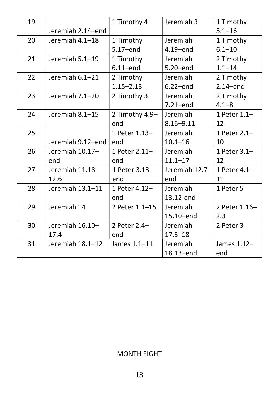| 19 |                   | 1 Timothy 4    | Jeremiah 3     | 1 Timothy     |
|----|-------------------|----------------|----------------|---------------|
|    | Jeremiah 2.14-end |                |                | $5.1 - 16$    |
| 20 | Jeremiah 4.1-18   | 1 Timothy      | Jeremiah       | 1 Timothy     |
|    |                   | 5.17-end       | $4.19 - end$   | $6.1 - 10$    |
| 21 | Jeremiah 5.1-19   | 1 Timothy      | Jeremiah       | 2 Timothy     |
|    |                   | $6.11$ -end    | $5.20$ end     | $1.1 - 14$    |
| 22 | Jeremiah 6.1-21   | 2 Timothy      | Jeremiah       | 2 Timothy     |
|    |                   | $1.15 - 2.13$  | $6.22$ -end    | $2.14$ -end   |
| 23 | Jeremiah 7.1-20   | 2 Timothy 3    | Jeremiah       | 2 Timothy     |
|    |                   |                | $7.21$ -end    | $4.1 - 8$     |
| 24 | Jeremiah 8.1-15   | 2 Timothy 4.9- | Jeremiah       | 1 Peter 1.1-  |
|    |                   | end            | $8.16 - 9.11$  | 12            |
| 25 |                   | 1 Peter 1.13-  | Jeremiah       | 1 Peter 2.1-  |
|    | Jeremiah 9.12-end | end            | $10.1 - 16$    | 10            |
| 26 | Jeremiah 10.17-   | 1 Peter 2.11-  | Jeremiah       | 1 Peter 3.1-  |
|    | end               | end            | $11.1 - 17$    | 12            |
| 27 | Jeremiah 11.18-   | 1 Peter 3.13-  | Jeremiah 12.7- | 1 Peter 4.1-  |
|    | 12.6              |                |                |               |
|    |                   | end            | end            | 11            |
| 28 | Jeremiah 13.1-11  | 1 Peter 4.12-  | Jeremiah       | 1 Peter 5     |
|    |                   | end            | 13.12-end      |               |
| 29 | Jeremiah 14       | 2 Peter 1.1-15 | Jeremiah       | 2 Peter 1.16- |
|    |                   |                | 15.10-end      | 2.3           |
| 30 | Jeremiah 16.10-   | 2 Peter 2.4-   | Jeremiah       | 2 Peter 3     |
|    | 17.4              | end            | $17.5 - 18$    |               |
| 31 | Jeremiah 18.1-12  | James 1.1-11   | Jeremiah       | James 1.12-   |

#### MONTH EIGHT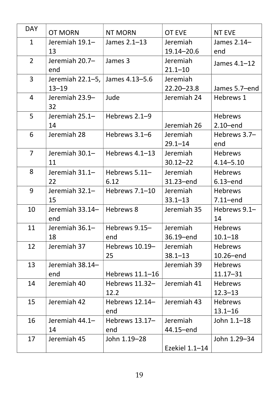| <b>DAY</b>     | <b>OT MORN</b>   | <b>NT MORN</b>   | <b>OT EVE</b>  | <b>NT EVE</b>  |
|----------------|------------------|------------------|----------------|----------------|
| $\mathbf{1}$   | Jeremiah 19.1-   | James 2.1-13     | Jeremiah       | James 2.14-    |
|                | 13               |                  | 19.14 - 20.6   | end            |
| $\overline{2}$ | Jeremiah 20.7-   | James 3          | Jeremiah       | James 4.1-12   |
|                | end              |                  | $21.1 - 10$    |                |
| 3              | Jeremiah 22.1–5, | James 4.13–5.6   | Jeremiah       |                |
|                | $13 - 19$        |                  | $22.20 - 23.8$ | James 5.7-end  |
| 4              | Jeremiah 23.9-   | Jude             | Jeremiah 24    | Hebrews 1      |
|                | 32               |                  |                |                |
| 5              | Jeremiah 25.1-   | Hebrews 2.1-9    |                | <b>Hebrews</b> |
|                | 14               |                  | Jeremiah 26    | $2.10$ -end    |
| 6              | Jeremiah 28      | Hebrews 3.1-6    | Jeremiah       | Hebrews 3.7-   |
|                |                  |                  | $29.1 - 14$    | end            |
| $\overline{7}$ | Jeremiah 30.1-   | Hebrews $4.1-13$ | Jeremiah       | <b>Hebrews</b> |
|                | 11               |                  | $30.12 - 22$   | $4.14 - 5.10$  |
| 8              | Jeremiah 31.1-   | Hebrews 5.11-    | Jeremiah       | <b>Hebrews</b> |
|                | 22               | 6.12             | 31.23-end      | $6.13 - end$   |
| 9              | Jeremiah 32.1-   | Hebrews 7.1-10   | Jeremiah       | <b>Hebrews</b> |
|                | 15               |                  | $33.1 - 13$    | $7.11$ -end    |
| 10             | Jeremiah 33.14-  | Hebrews 8        | Jeremiah 35    | Hebrews 9.1-   |
|                | end              |                  |                | 14             |
| 11             | Jeremiah 36.1-   | Hebrews 9.15-    | Jeremiah       | <b>Hebrews</b> |
|                | 18               | end              | 36.19-end      | $10.1 - 18$    |
| 12             | Jeremiah 37      | Hebrews 10.19-   | Jeremiah       | <b>Hebrews</b> |
|                |                  | 25               | $38.1 - 13$    | 10.26-end      |
| 13             | Jeremiah 38.14-  |                  | Jeremiah 39    | <b>Hebrews</b> |
|                | end              | Hebrews 11.1-16  |                | $11.17 - 31$   |
| 14             | Jeremiah 40      | Hebrews 11.32-   | Jeremiah 41    | <b>Hebrews</b> |
|                |                  | 12.2             |                | $12.3 - 13$    |
| 15             | Jeremiah 42      | Hebrews $12.14-$ | Jeremiah 43    | <b>Hebrews</b> |
|                |                  | end              |                | $13.1 - 16$    |
| 16             | Jeremiah 44.1-   | Hebrews 13.17-   | Jeremiah       | John 1.1-18    |
|                | 14               | end              | 44.15-end      |                |
| 17             | Jeremiah 45      | John 1.19-28     |                | John 1.29-34   |
|                |                  |                  | Ezekiel 1.1-14 |                |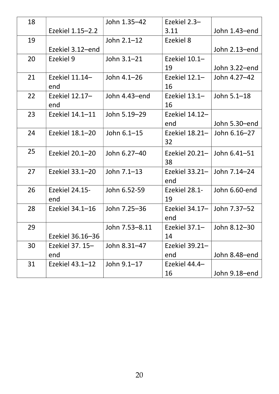| 18 |                       | John 1.35-42   | Ezekiel 2.3-                     |               |
|----|-----------------------|----------------|----------------------------------|---------------|
|    | Ezekiel 1.15-2.2      |                | 3.11                             | John 1.43-end |
| 19 |                       | John 2.1-12    | Ezekiel 8                        |               |
|    | Ezekiel 3.12-end      |                |                                  | John 2.13-end |
| 20 | Ezekiel 9             | John 3.1-21    | Ezekiel 10.1-                    |               |
|    |                       |                | 19                               | John 3.22-end |
| 21 | Ezekiel 11.14-        | John 4.1-26    | Ezekiel 12.1-                    | John 4.27-42  |
|    | end                   |                | 16                               |               |
| 22 | Ezekiel 12.17-        | John 4.43-end  | Ezekiel $13.1-$                  | John 5.1-18   |
|    | end                   |                | 16                               |               |
| 23 | Ezekiel 14.1-11       | John 5.19-29   | Ezekiel 14.12-                   |               |
|    |                       |                | end                              | John 5.30-end |
| 24 | Ezekiel 18.1-20       | John 6.1-15    | Ezekiel 18.21-                   | John 6.16-27  |
|    |                       |                | 32                               |               |
| 25 | Ezekiel 20.1-20       | John 6.27-40   | Ezekiel $20.21 - 1$ John 6.41-51 |               |
|    |                       |                | 38                               |               |
| 27 | Ezekiel 33.1-20       | John 7.1-13    | Ezekiel 33.21-                   | John 7.14-24  |
|    |                       |                | end                              |               |
| 26 | <b>Ezekiel 24.15-</b> | John 6.52-59   | Ezekiel 28.1-                    | John 6.60-end |
|    | end                   |                | 19                               |               |
| 28 | Ezekiel 34.1-16       | John 7.25-36   | Ezekiel 34.17-                   | John 7.37-52  |
|    |                       |                | end                              |               |
| 29 |                       | John 7.53-8.11 | Ezekiel 37.1-                    | John 8.12-30  |
|    | Ezekiel 36.16-36      |                | 14                               |               |
| 30 | Ezekiel 37. 15-       | John 8.31-47   | Ezekiel 39.21-                   |               |
|    | end                   |                | end                              | John 8.48-end |
| 31 | Ezekiel $43.1 - 12$   | John 9.1-17    | Ezekiel 44.4-                    |               |
|    |                       |                | 16                               | John 9.18-end |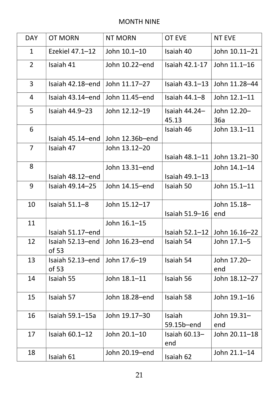#### MONTH NINE

| <b>DAY</b>     | <b>OT MORN</b>            | <b>NT MORN</b>  | <b>OT EVE</b>            | <b>NT EVE</b>      |
|----------------|---------------------------|-----------------|--------------------------|--------------------|
| $\mathbf{1}$   | Ezekiel $47.1 - 12$       | John 10.1-10    | Isaiah 40                | John 10.11-21      |
| $\overline{2}$ | Isaiah 41                 | John 10.22-end  | Isaiah 42.1-17           | John 11.1-16       |
| $\overline{3}$ | Isaiah 42.18-end          | John 11.17-27   | Isaiah 43.1-13           | John 11.28-44      |
| 4              | Isaiah 43.14-end          | John 11.45-end  | Isaiah $44.1 - 8$        | John 12.1-11       |
| 5              | Isaiah 44.9-23            | John 12.12-19   | Isaiah $44.24-$<br>45.13 | John 12.20-<br>36a |
| 6              | Isaiah 45.14-end          | John 12.36b-end | Isaiah 46                | John 13.1-11       |
| $\overline{7}$ | Isaiah 47                 | John 13.12-20   | Isaiah 48.1-11           | John 13.21-30      |
| 8              | Isaiah 48.12-end          | John 13.31-end  | Isaiah 49.1-13           | John 14.1-14       |
| 9              | Isaiah 49.14–25           | John 14.15-end  | Isaiah 50                | John 15.1-11       |
| 10             | Isaiah $51.1-8$           | John 15.12-17   | Isaiah 51.9-16           | John 15.18-<br>end |
| 11             | Isaiah 51.17-end          | John 16.1-15    | Isaiah $52.1 - 12$       | John 16.16-22      |
| 12             | Isaiah 52.13-end<br>of 53 | John 16.23-end  | Isaiah 54                | John 17.1-5        |
| 13             | Isaiah 52.13-end<br>of 53 | John 17.6-19    | Isaiah 54                | John 17.20-<br>end |
| 14             | Isaiah 55                 | John 18.1-11    | Isaiah 56                | John 18.12-27      |
| 15             | Isaiah 57                 | John 18.28-end  | Isaiah 58                | John 19.1-16       |
| 16             | Isaiah 59.1-15a           | John 19.17-30   | Isaiah<br>59.15b-end     | John 19.31-<br>end |
| 17             | Isaiah $60.1 - 12$        | John 20.1-10    | Isaiah $60.13-$<br>end   | John 20.11-18      |
| 18             | Isaiah 61                 | John 20.19-end  | Isaiah 62                | John 21.1-14       |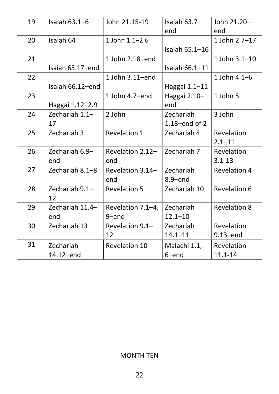| 19 | Isaiah $63.1 - 6$ | John 21.15-19        | Isaiah $63.7-$   | John 21.20-         |
|----|-------------------|----------------------|------------------|---------------------|
|    |                   |                      | end              | end                 |
| 20 | Isaiah 64         | 1 John 1.1-2.6       |                  | 1 John 2.7-17       |
|    |                   |                      | Isaiah 65.1-16   |                     |
| 21 |                   | 1 John 2.18-end      |                  | 1 John 3.1-10       |
|    | Isaiah 65.17-end  |                      | Isaiah 66.1-11   |                     |
| 22 |                   | 1 John 3.11-end      |                  | 1 John 4.1-6        |
|    | Isaiah 66.12-end  |                      | Haggai 1.1-11    |                     |
| 23 |                   | 1 John 4.7-end       | Haggai 2.10-     | 1 John 5            |
|    | Haggai 1.12-2.9   |                      | end              |                     |
| 24 | Zechariah 1.1-    | 2 John               | Zechariah        | 3 John              |
|    | 17                |                      | $1.18$ -end of 2 |                     |
| 25 | Zechariah 3       | <b>Revelation 1</b>  | Zechariah 4      | Revelation          |
|    |                   |                      |                  | $2.1 - 11$          |
| 26 | Zechariah 6.9-    | Revelation 2.12-     | Zechariah 7      | Revelation          |
|    | end               | end                  |                  | $3.1 - 13$          |
| 27 | Zechariah 8.1-8   | Revelation 3.14-     | Zechariah        | <b>Revelation 4</b> |
|    |                   | end                  | $8.9 - end$      |                     |
| 28 | Zechariah 9.1-    | <b>Revelation 5</b>  | Zechariah 10     | <b>Revelation 6</b> |
|    | 12                |                      |                  |                     |
| 29 | Zechariah 11.4-   | Revelation 7.1-4,    | Zechariah        | <b>Revelation 8</b> |
|    | end               | 9-end                | $12.1 - 10$      |                     |
| 30 | Zechariah 13      | Revelation 9.1-      | Zechariah        | Revelation          |
|    |                   | 12                   | $14.1 - 11$      | $9.13 - end$        |
| 31 | Zechariah         | <b>Revelation 10</b> | Malachi 1.1,     | Revelation          |
|    | 14.12-end         |                      | 6-end            | $11.1 - 14$         |

### MONTH TEN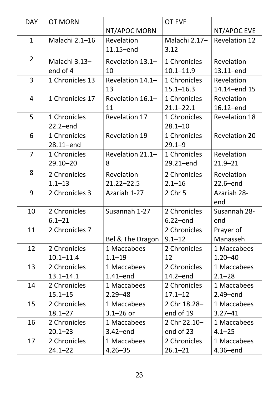| <b>DAY</b>     | <b>OT MORN</b>  |                      | <b>OT EVE</b> |                      |
|----------------|-----------------|----------------------|---------------|----------------------|
|                |                 | NT/APOC MORN         |               | NT/APOC EVE          |
| $\mathbf{1}$   | Malachi 2.1-16  | Revelation           | Malachi 2.17- | <b>Revelation 12</b> |
|                | 11.15-end       |                      | 3.12          |                      |
| $\overline{2}$ | Malachi 3.13-   | Revelation 13.1-     | 1 Chronicles  | Revelation           |
|                | end of 4        | 10                   | $10.1 - 11.9$ | $13.11$ -end         |
| $\overline{3}$ | 1 Chronicles 13 | Revelation 14.1-     | 1 Chronicles  | Revelation           |
|                |                 | 13                   | $15.1 - 16.3$ | 14.14-end 15         |
| $\overline{4}$ | 1 Chronicles 17 | Revelation 16.1-     | 1 Chronicles  | Revelation           |
|                |                 | 11                   | $21.1 - 22.1$ | 16.12-end            |
| 5              | 1 Chronicles    | <b>Revelation 17</b> | 1 Chronicles  | <b>Revelation 18</b> |
|                | $22.2$ -end     |                      | $28.1 - 10$   |                      |
| 6              | 1 Chronicles    | <b>Revelation 19</b> | 1 Chronicles  | <b>Revelation 20</b> |
|                | 28.11-end       |                      | $29.1 - 9$    |                      |
| $\overline{7}$ | 1 Chronicles    | Revelation 21.1-     | 1 Chronicles  | Revelation           |
|                | $29.10 - 20$    | 8                    | 29.21-end     | $21.9 - 21$          |
| 8              | 2 Chronicles    | Revelation           | 2 Chronicles  | Revelation           |
|                | $1.1 - 13$      | $21.22 - 22.5$       | $2.1 - 16$    | $22.6$ -end          |
| 9              | 2 Chronicles 3  | Azariah 1-27         | 2 Chr 5       | <b>Azariah 28-</b>   |
|                |                 |                      |               | end                  |
| 10             | 2 Chronicles    | Susannah 1-27        | 2 Chronicles  | Susannah 28-         |
|                | $6.1 - 21$      |                      | $6.22$ -end   | end                  |
| 11             | 2 Chronicles 7  |                      | 2 Chronicles  | Prayer of            |
|                |                 | Bel & The Dragon     | $9.1 - 12$    | Manasseh             |
| 12             | 2 Chronicles    | 1 Maccabees          | 2 Chronicles  | 1 Maccabees          |
|                | $10.1 - 11.4$   | $1.1 - 19$           | 12            | $1.20 - 40$          |
| 13             | 2 Chronicles    | 1 Maccabees          | 2 Chronicles  | 1 Maccabees          |
|                | $13.1 - 14.1$   | $1.41$ –end          | $14.2 - end$  | $2.1 - 28$           |
| 14             | 2 Chronicles    | 1 Maccabees          | 2 Chronicles  | 1 Maccabees          |
|                | $15.1 - 15$     | $2.29 - 48$          | $17.1 - 12$   | $2.49$ -end          |
| 15             | 2 Chronicles    | 1 Maccabees          | 2 Chr 18.28-  | 1 Maccabees          |
|                | $18.1 - 27$     | $3.1 - 26$ or        | end of 19     | $3.27 - 41$          |
| 16             | 2 Chronicles    | 1 Maccabees          | 2 Chr 22.10-  | 1 Maccabees          |
|                | $20.1 - 23$     | $3.42$ –end          | end of 23     | $4.1 - 25$           |
| 17             | 2 Chronicles    | 1 Maccabees          | 2 Chronicles  | 1 Maccabees          |
|                | $24.1 - 22$     | $4.26 - 35$          | $26.1 - 21$   | $4.36 - end$         |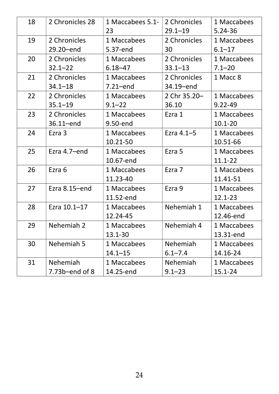| 18 | 2 Chronicles 28     | 1 Maccabees 5.1-<br>23 | 2 Chronicles<br>$29.1 - 19$ | 1 Maccabees<br>$5.24 - 36$ |
|----|---------------------|------------------------|-----------------------------|----------------------------|
| 19 | 2 Chronicles        | 1 Maccabees            | 2 Chronicles                | 1 Maccabees                |
|    | 29.20-end           | 5.37-end               | 30                          | $6.1 - 17$                 |
| 20 | 2 Chronicles        | 1 Maccabees            | 2 Chronicles                | 1 Maccabees                |
|    | $32.1 - 22$         | $6.18 - 47$            | $33.1 - 13$                 | $7.1 - 20$                 |
|    |                     |                        |                             |                            |
| 21 | 2 Chronicles        | 1 Maccabees            | 2 Chronicles                | 1 Macc 8                   |
|    | $34.1 - 18$         | $7.21$ -end            | 34.19-end                   |                            |
| 22 | 2 Chronicles        | 1 Maccabees            | 2 Chr 35.20-                | 1 Maccabees                |
|    | $35.1 - 19$         | $9.1 - 22$             | 36.10                       | $9.22 - 49$                |
| 23 | 2 Chronicles        | 1 Maccabees            | Ezra 1                      | 1 Maccabees                |
|    | 36.11-end           | 9.50-end               |                             | $10.1 - 20$                |
| 24 | Ezra 3              | 1 Maccabees            | Ezra 4.1-5                  | 1 Maccabees                |
|    |                     | 10.21-50               |                             | 10.51-66                   |
| 25 | Ezra 4.7-end        | 1 Maccabees            | Ezra 5                      | 1 Maccabees                |
|    |                     | 10.67-end              |                             | $11.1 - 22$                |
| 26 | Ezra 6              | 1 Maccabees            | Ezra 7                      | 1 Maccabees                |
|    |                     | 11.23-40               |                             | 11.41-51                   |
| 27 | Ezra 8.15-end       | 1 Maccabees            | Ezra 9                      | 1 Maccabees                |
|    |                     | 11.52-end              |                             | $12.1 - 23$                |
| 28 | Ezra 10.1-17        | 1 Maccabees            | Nehemiah 1                  | 1 Maccabees                |
|    |                     | 12.24-45               |                             | 12.46-end                  |
| 29 | Nehemiah 2          | 1 Maccabees            | Nehemiah 4                  | 1 Maccabees                |
|    |                     | 13.1-30                |                             | 13.31-end                  |
| 30 | Nehemiah 5          | 1 Maccabees            | Nehemiah                    | 1 Maccabees                |
|    |                     | $14.1 - 15$            | $6.1 - 7.4$                 | 14.16-24                   |
| 31 | Nehemiah            | 1 Maccabees            | Nehemiah                    | 1 Maccabees                |
|    | $7.73b$ -end of $8$ | 14.25-end              | $9.1 - 23$                  | $15.1 - 24$                |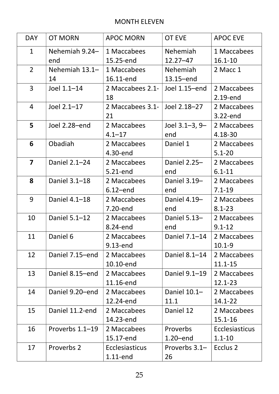#### MONTH ELEVEN

| <b>DAY</b>              | <b>OT MORN</b>                | <b>APOC MORN</b>      | <b>OT EVE</b>       | <b>APOC EVE</b>       |
|-------------------------|-------------------------------|-----------------------|---------------------|-----------------------|
| $\mathbf{1}$            | Nehemiah 9.24-                | 1 Maccabees           | Nehemiah            | 1 Maccabees           |
|                         | end                           | 15.25-end             | $12.27 - 47$        | $16.1 - 10$           |
| $\overline{2}$          | Nehemiah 13.1-<br>1 Maccabees |                       | Nehemiah            | 2 Macc 1              |
|                         | 14                            | 16.11-end             | 13.15-end           |                       |
| $\overline{3}$          | Joel 1.1-14                   | 2 Maccabees 2.1-      | Joel 1.15-end       | 2 Maccabees           |
|                         |                               | 18                    |                     | 2.19-end              |
| $\overline{4}$          | Joel 2.1-17                   | 2 Maccabees 3.1-      | Joel 2.18-27        | 2 Maccabees           |
|                         |                               | 21                    |                     | 3.22-end              |
| 5                       | Joel 2.28-end                 | 2 Maccabees           | Joel $3.1 - 3, 9 -$ | 2 Maccabees           |
|                         |                               | $4.1 - 17$            | end                 | 4.18-30               |
| 6                       | Obadiah                       | 2 Maccabees           | Daniel 1            | 2 Maccabees           |
|                         |                               | 4.30-end              |                     | $5.1 - 20$            |
| $\overline{\mathbf{z}}$ | Daniel 2.1-24                 | 2 Maccabees           | Daniel 2.25-        | 2 Maccabees           |
|                         |                               | 5.21-end              | end                 | $6.1 - 11$            |
| 8                       | Daniel 3.1-18                 | 2 Maccabees           | Daniel 3.19-        | 2 Maccabees           |
|                         |                               | $6.12$ –end           | end                 | $7.1 - 19$            |
| 9                       | Daniel 4.1-18                 | 2 Maccabees           | Daniel 4.19-        | 2 Maccabees           |
|                         |                               | 7.20-end              | end                 | $8.1 - 23$            |
| 10                      | Daniel 5.1-12                 | 2 Maccabees           | Daniel 5.13-        | 2 Maccabees           |
|                         |                               | 8.24-end              | end                 | $9.1 - 12$            |
| 11                      | Daniel 6                      | 2 Maccabees           | Daniel 7.1-14       | 2 Maccabees           |
|                         |                               | 9.13-end              |                     | $10.1 - 9$            |
| 12                      | Daniel 7.15-end               | 2 Maccabees           | Daniel 8.1-14       | 2 Maccabees           |
|                         |                               | 10.10-end             |                     | $11.1 - 15$           |
| 13                      | Daniel 8.15-end               | 2 Maccabees           | Daniel 9.1-19       | 2 Maccabees           |
|                         |                               | 11.16-end             |                     | 12.1-23               |
| 14                      | Daniel 9.20-end               | 2 Maccabees           | Daniel 10.1-        | 2 Maccabees           |
|                         |                               | 12.24-end             | 11.1                | 14.1-22               |
| 15                      | Daniel 11.2-end               | 2 Maccabees           | Daniel 12           | 2 Maccabees           |
|                         |                               | 14.23-end             |                     | $15.1 - 16$           |
| 16                      | Proverbs 1.1-19               | 2 Maccabees           | Proverbs            | <b>Ecclesiasticus</b> |
|                         |                               | 15.17-end             | $1.20$ –end         | $1.1 - 10$            |
| 17                      | Proverbs 2                    | <b>Ecclesiasticus</b> | Proverbs 3.1-       | Ecclus <sub>2</sub>   |
|                         |                               | $1.11$ -end           | 26                  |                       |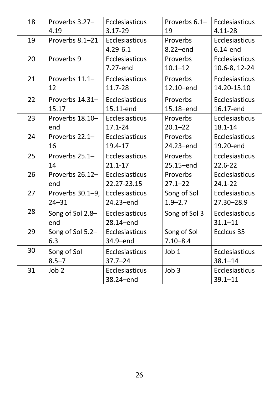| 18 | Proverbs 3.27-   | Ecclesiasticus        | Proverbs $6.1 -$ | Ecclesiasticus        |
|----|------------------|-----------------------|------------------|-----------------------|
|    | 4.19             | $3.17 - 29$           | 19               | 4.11-28               |
| 19 | Proverbs 8.1-21  | Ecclesiasticus        | Proverbs         | <b>Ecclesiasticus</b> |
|    |                  | $4.29 - 6.1$          | 8.22-end         | 6.14-end              |
| 20 | Proverbs 9       | Ecclesiasticus        | Proverbs         | <b>Ecclesiasticus</b> |
|    |                  | 7.27-end              | $10.1 - 12$      | 10.6-8, 12-24         |
| 21 | Proverbs 11.1-   | Ecclesiasticus        | Proverbs         | Ecclesiasticus        |
|    | 12               | 11.7-28               | 12.10-end        | 14.20-15.10           |
| 22 | Proverbs 14.31-  | Ecclesiasticus        | Proverbs         | <b>Ecclesiasticus</b> |
|    | 15.17            | 15.11-end             | 15.18-end        | 16.17-end             |
| 23 | Proverbs 18.10-  | Ecclesiasticus        | Proverbs         | <b>Ecclesiasticus</b> |
|    | end              | $17.1 - 24$           | $20.1 - 22$      | 18.1-14               |
| 24 | Proverbs 22.1-   | <b>Ecclesiasticus</b> | Proverbs         | <b>Ecclesiasticus</b> |
|    | 16               | 19.4-17               | 24.23-end        | 19.20-end             |
| 25 | Proverbs 25.1-   | <b>Ecclesiasticus</b> | Proverbs         | Ecclesiasticus        |
|    | 14               | $21.1 - 17$           | 25.15-end        | $22.6 - 22$           |
| 26 | Proverbs 26.12-  | Ecclesiasticus        | Proverbs         | <b>Ecclesiasticus</b> |
|    | end              | 22.27-23.15           | $27.1 - 22$      | $24.1 - 22$           |
| 27 | Proverbs 30.1–9, | Ecclesiasticus        | Song of Sol      | <b>Ecclesiasticus</b> |
|    | $24 - 31$        | 24.23-end             | $1.9 - 2.7$      | 27.30-28.9            |
| 28 | Song of Sol 2.8- | <b>Ecclesiasticus</b> | Song of Sol 3    | Ecclesiasticus        |
|    | end              | $28.14$ -end          |                  | $31.1 - 11$           |
| 29 | Song of Sol 5.2- | <b>Ecclesiasticus</b> | Song of Sol      | Ecclcus 35            |
|    | 6.3              | 34.9-end              | $7.10 - 8.4$     |                       |
| 30 | Song of Sol      | <b>Ecclesiasticus</b> | Job 1            | <b>Ecclesiasticus</b> |
|    | $8.5 - 7$        | $37.7 - 24$           |                  | $38.1 - 14$           |
| 31 | Job 2            | <b>Ecclesiasticus</b> | Job <sub>3</sub> | <b>Ecclesiasticus</b> |
|    |                  | 38.24-end             |                  | $39.1 - 11$           |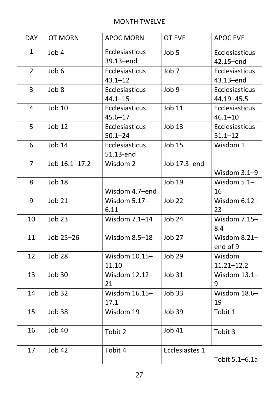#### MONTH TWELVE

| <b>DAY</b>     | <b>OT MORN</b> | <b>APOC MORN</b>                     | <b>OT EVE</b>         | <b>APOC EVE</b>                       |
|----------------|----------------|--------------------------------------|-----------------------|---------------------------------------|
| $\mathbf{1}$   | Job 4          | <b>Ecclesiasticus</b><br>39.13-end   | Job 5                 | Ecclesiasticus<br>42.15-end           |
| $\overline{2}$ | Job 6          | Ecclesiasticus<br>$43.1 - 12$        | Job <sub>7</sub>      | Ecclesiasticus<br>43.13-end           |
| $\overline{3}$ | Job 8          | Ecclesiasticus<br>$44.1 - 15$        | Job 9                 | <b>Ecclesiasticus</b><br>44.19 - 45.5 |
| 4              | <b>Job 10</b>  | <b>Ecclesiasticus</b><br>$45.6 - 17$ | <b>Job 11</b>         | <b>Ecclesiasticus</b><br>$46.1 - 10$  |
| 5              | <b>Job 12</b>  | Ecclesiasticus<br>$50.1 - 24$        | <b>Job 13</b>         | <b>Ecclesiasticus</b><br>$51.1 - 12$  |
| 6              | <b>Job 14</b>  | Ecclesiasticus<br>51.13-end          | <b>Job 15</b>         | Wisdom 1                              |
| $\overline{7}$ | Job 16.1-17.2  | Wisdom 2                             | Job 17.3-end          | Wisdom 3.1-9                          |
| 8              | <b>Job 18</b>  | Wisdom 4.7-end                       | <b>Job 19</b>         | Wisdom $5.1-$<br>16                   |
| 9              | <b>Job 21</b>  | Wisdom $5.17-$<br>6.11               | Job <sub>22</sub>     | Wisdom $6.12-$<br>23                  |
| 10             | <b>Job 23</b>  | Wisdom 7.1-14                        | <b>Job 24</b>         | Wisdom 7.15-<br>8.4                   |
| 11             | Job 25-26      | Wisdom 8.5-18                        | Job 27                | Wisdom $8.21-$<br>end of 9            |
| 12             | Job 28         | Wisdom 10.15-<br>11.10               | <b>Job 29</b>         | Wisdom<br>$11.21 - 12.2$              |
| 13             | <b>Job 30</b>  | Wisdom 12.12-<br>21                  | <b>Job 31</b>         | Wisdom 13.1-<br>9                     |
| 14             | <b>Job 32</b>  | Wisdom 16.15-<br>17.1                | <b>Job 33</b>         | Wisdom 18.6-<br>19                    |
| 15             | Job 38         | Wisdom 19                            | <b>Job 39</b>         | Tobit 1                               |
| 16             | <b>Job 40</b>  | Tobit 2                              | <b>Job 41</b>         | Tobit 3                               |
| 17             | <b>Job 42</b>  | Tobit 4                              | <b>Ecclesiastes 1</b> | Tobit 5.1–6.1a                        |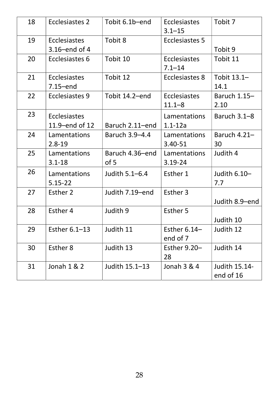| 18 | Ecclesiastes 2                   | Tobit 6.1b-end          | <b>Ecclesiastes</b><br>$3.1 - 15$ | Tobit 7                           |
|----|----------------------------------|-------------------------|-----------------------------------|-----------------------------------|
| 19 | Ecclesiastes<br>$3.16$ –end of 4 | Tobit 8                 | <b>Ecclesiastes 5</b>             | Tobit 9                           |
| 20 | Ecclesiastes 6                   | Tobit 10                | <b>Ecclesiastes</b><br>$7.1 - 14$ | Tobit 11                          |
| 21 | Ecclesiastes<br>$7.15$ -end      | Tobit 12                | Ecclesiastes 8                    | Tobit 13.1-<br>14.1               |
| 22 | Ecclesiastes 9                   | Tobit 14.2-end          | Ecclesiastes<br>$11.1 - 8$        | Baruch 1.15-<br>2.10              |
| 23 | Ecclesiastes<br>11.9-end of 12   | Baruch 2.11-end         | Lamentations<br>$1.1 - 12a$       | Baruch $3.1 - 8$                  |
| 24 | Lamentations<br>$2.8 - 19$       | Baruch 3.9-4.4          | Lamentations<br>$3.40 - 51$       | Baruch $4.21-$<br>30              |
| 25 | Lamentations<br>$3.1 - 18$       | Baruch 4.36-end<br>of 5 | Lamentations<br>$3.19 - 24$       | Judith 4                          |
| 26 | Lamentations<br>$5.15 - 22$      | Judith 5.1-6.4          | Esther 1                          | Judith $6.10-$<br>7.7             |
| 27 | Esther 2                         | Judith 7.19-end         | Esther 3                          | Judith 8.9-end                    |
| 28 | Esther 4                         | Judith 9                | Esther 5                          | Judith 10                         |
| 29 | Esther 6.1-13                    | Judith 11               | Esther $6.14-$<br>end of 7        | Judith 12                         |
| 30 | Esther 8                         | Judith 13               | Esther 9.20-<br>28                | Judith 14                         |
| 31 | Jonah 1 & 2                      | Judith 15.1-13          | Jonah 3 & 4                       | <b>Judith 15.14-</b><br>end of 16 |